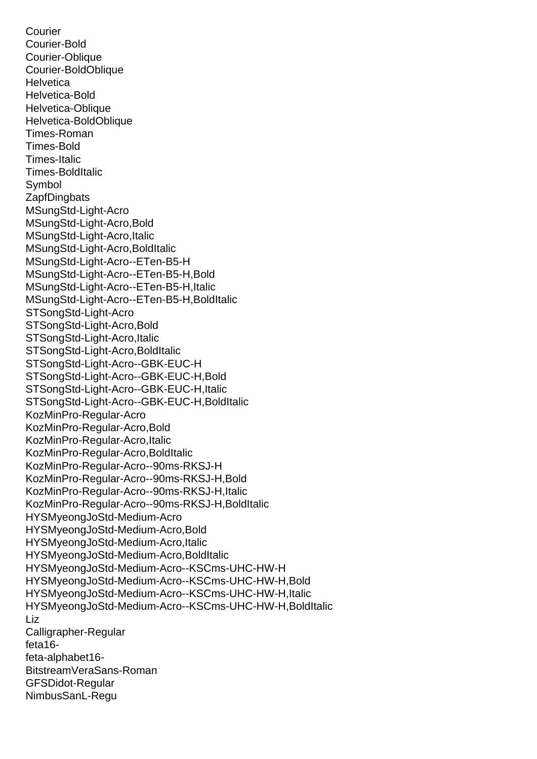Courier-Oblique Courier-BoldOblique **Helvetica** Helvetica-Bold Helvetica-Oblique Helvetica-BoldOblique Times-Roman Times-Bold Times-Italic Times-BoldItalic Symbol **ZapfDingbats** MSungStd-Light-Acro MSungStd-Light-Acro,Bold MSungStd-Light-Acro,Italic MSungStd-Light-Acro,BoldItalic MSungStd-Light-Acro--ETen-B5-H MSungStd-Light-Acro--ETen-B5-H,Bold MSungStd-Light-Acro--ETen-B5-H,Italic MSungStd-Light-Acro--ETen-B5-H,BoldItalic STSongStd-Light-Acro STSongStd-Light-Acro,Bold STSongStd-Light-Acro, Italic STSongStd-Light-Acro,BoldItalic STSongStd-Light-Acro--GBK-EUC-H STSongStd-Light-Acro--GBK-EUC-H,Bold STSongStd-Light-Acro--GBK-EUC-H,Italic STSongStd-Light-Acro--GBK-EUC-H,BoldItalic KozMinPro-Regular-Acro KozMinPro-Regular-Acro,Bold KozMinPro-Regular-Acro,Italic KozMinPro-Regular-Acro,BoldItalic KozMinPro-Regular-Acro--90ms-RKSJ-H KozMinPro-Regular-Acro--90ms-RKSJ-H,Bold KozMinPro-Regular-Acro--90ms-RKSJ-H,Italic KozMinPro-Regular-Acro--90ms-RKSJ-H,BoldItalic HYSMyeongJoStd-Medium-Acro HYSMyeongJoStd-Medium-Acro,Bold HYSMyeongJoStd-Medium-Acro,Italic HYSMyeongJoStd-Medium-Acro,BoldItalic HYSMyeongJoStd-Medium-Acro--KSCms-UHC-HW-H HYSMyeongJoStd-Medium-Acro--KSCms-UHC-HW-H,Bold HYSMyeongJoStd-Medium-Acro--KSCms-UHC-HW-H,Italic HYSMyeongJoStd-Medium-Acro--KSCms-UHC-HW-H,BoldItalic Liz Calligrapher-Regular feta16 feta-alphabet16- BitstreamVeraSans-Roman GFSDidot-Regular NimbusSanL-Regu

Courier-Bold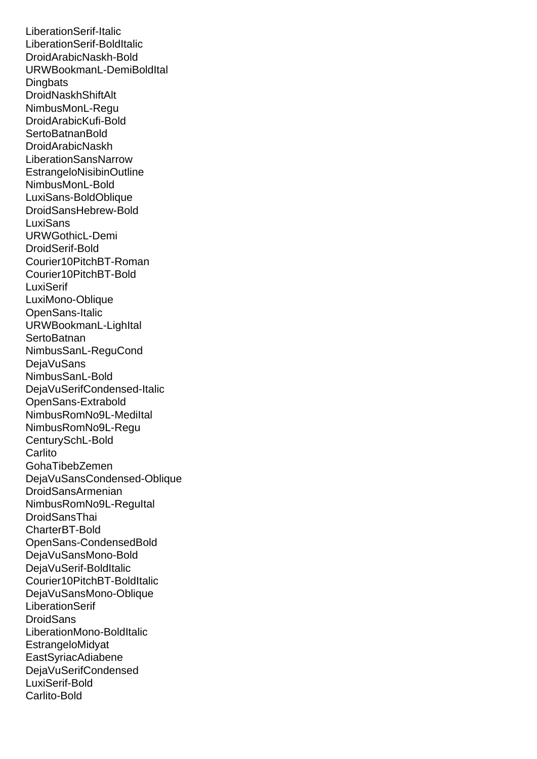LiberationSerif-BoldItalic DroidArabicNaskh-Bold URWBookmanL-DemiBoldItal **Dingbats DroidNaskhShiftAlt** NimbusMonL-Regu DroidArabicKufi-Bold **SertoBatnanBold** DroidArabicNaskh LiberationSansNarrow EstrangeloNisibinOutline NimbusMonL-Bold LuxiSans-BoldOblique DroidSansHebrew-Bold **LuxiSans** URWGothicL-Demi DroidSerif-Bold Courier10PitchBT-Roman Courier10PitchBT-Bold **LuxiSerif** LuxiMono-Oblique OpenSans-Italic URWBookmanL-LighItal **SertoBatnan** NimbusSanL-ReguCond DejaVuSans NimbusSanL-Bold DejaVuSerifCondensed-Italic OpenSans-Extrabold NimbusRomNo9L-MediItal NimbusRomNo9L-Regu CenturySchL-Bold **Carlito** GohaTibebZemen DejaVuSansCondensed-Oblique DroidSansArmenian NimbusRomNo9L-ReguItal **DroidSansThai** CharterBT-Bold OpenSans-CondensedBold DejaVuSansMono-Bold DejaVuSerif-BoldItalic Courier10PitchBT-BoldItalic DejaVuSansMono-Oblique LiberationSerif **DroidSans** LiberationMono-BoldItalic EstrangeloMidyat EastSyriacAdiabene DejaVuSerifCondensed LuxiSerif-Bold Carlito-Bold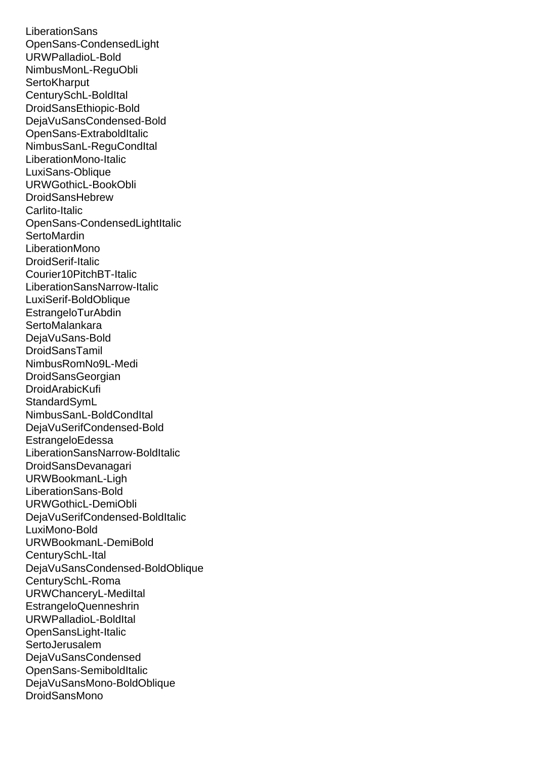OpenOans-CondensedLight URWPalladioL-Bold NimbusMonL-ReguObli **SertoKharput** CenturySchL-BoldItal DroidSansEthiopic-Bold DejaVuSansCondensed-Bold OpenSans-ExtraboldItalic NimbusSanL-ReguCondItal LiberationMono-Italic LuxiSans-Oblique URWGothicL-BookObli DroidSansHebrew Carlito-Italic OpenSans-CondensedLightItalic **SertoMardin** LiberationMono DroidSerif-Italic Courier10PitchBT-Italic LiberationSansNarrow-Italic LuxiSerif-BoldOblique EstrangeloTurAbdin **SertoMalankara** DejaVuSans-Bold **DroidSansTamil** NimbusRomNo9L-Medi DroidSansGeorgian DroidArabicKufi **StandardSymL** NimbusSanL-BoldCondItal DejaVuSerifCondensed-Bold EstrangeloEdessa LiberationSansNarrow-BoldItalic DroidSansDevanagari URWBookmanL-Ligh LiberationSans-Bold URWGothicL-DemiObli DejaVuSerifCondensed-BoldItalic LuxiMono-Bold URWBookmanL-DemiBold CenturySchL-Ital DejaVuSansCondensed-BoldOblique CenturySchL-Roma URWChanceryL-MediItal EstrangeloQuenneshrin URWPalladioL-BoldItal OpenSansLight-Italic **SertoJerusalem** DejaVuSansCondensed OpenSans-SemiboldItalic DejaVuSansMono-BoldOblique DroidSansMono